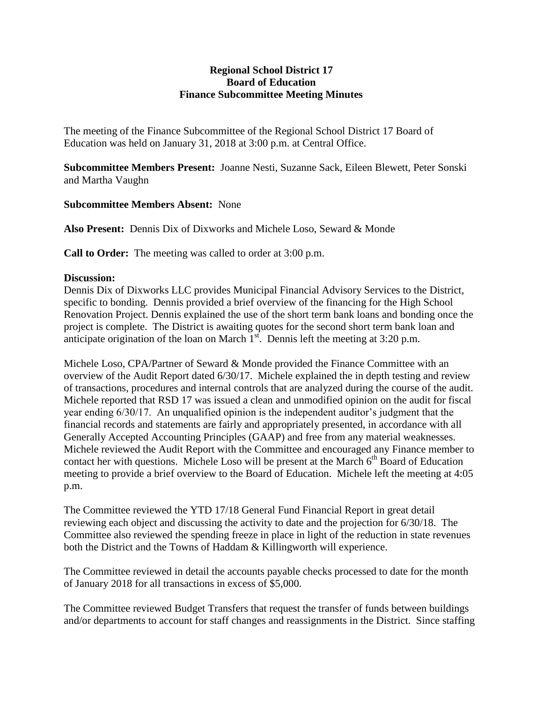## **Regional School District 17 Board of Education Finance Subcommittee Meeting Minutes**

The meeting of the Finance Subcommittee of the Regional School District 17 Board of Education was held on January 31, 2018 at 3:00 p.m. at Central Office.

**Subcommittee Members Present:** Joanne Nesti, Suzanne Sack, Eileen Blewett, Peter Sonski and Martha Vaughn

## **Subcommittee Members Absent:** None

**Also Present:** Dennis Dix of Dixworks and Michele Loso, Seward & Monde

**Call to Order:** The meeting was called to order at 3:00 p.m.

## **Discussion:**

Dennis Dix of Dixworks LLC provides Municipal Financial Advisory Services to the District, specific to bonding. Dennis provided a brief overview of the financing for the High School Renovation Project. Dennis explained the use of the short term bank loans and bonding once the project is complete. The District is awaiting quotes for the second short term bank loan and anticipate origination of the loan on March  $1<sup>st</sup>$ . Dennis left the meeting at 3:20 p.m.

Michele Loso, CPA/Partner of Seward & Monde provided the Finance Committee with an overview of the Audit Report dated 6/30/17. Michele explained the in depth testing and review of transactions, procedures and internal controls that are analyzed during the course of the audit. Michele reported that RSD 17 was issued a clean and unmodified opinion on the audit for fiscal year ending 6/30/17. An unqualified opinion is the independent auditor's judgment that the financial records and statements are fairly and appropriately presented, in accordance with all Generally Accepted Accounting Principles (GAAP) and free from any material weaknesses. Michele reviewed the Audit Report with the Committee and encouraged any Finance member to contact her with questions. Michele Loso will be present at the March 6<sup>th</sup> Board of Education meeting to provide a brief overview to the Board of Education. Michele left the meeting at 4:05 p.m.

The Committee reviewed the YTD 17/18 General Fund Financial Report in great detail reviewing each object and discussing the activity to date and the projection for 6/30/18. The Committee also reviewed the spending freeze in place in light of the reduction in state revenues both the District and the Towns of Haddam & Killingworth will experience.

The Committee reviewed in detail the accounts payable checks processed to date for the month of January 2018 for all transactions in excess of \$5,000.

The Committee reviewed Budget Transfers that request the transfer of funds between buildings and/or departments to account for staff changes and reassignments in the District. Since staffing